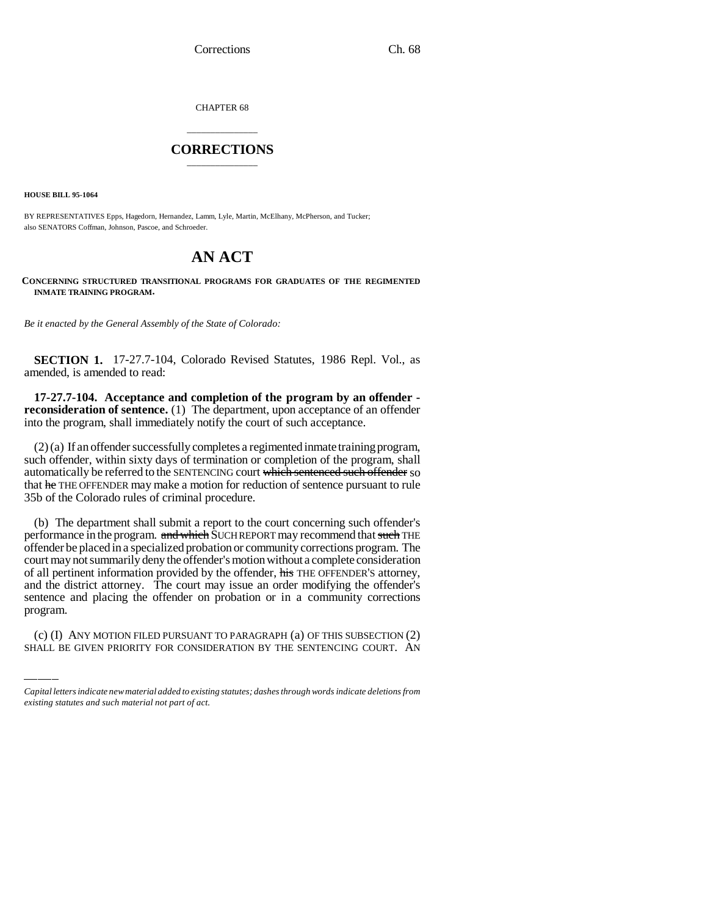CHAPTER 68

# \_\_\_\_\_\_\_\_\_\_\_\_\_\_\_ **CORRECTIONS** \_\_\_\_\_\_\_\_\_\_\_\_\_\_\_

**HOUSE BILL 95-1064**

BY REPRESENTATIVES Epps, Hagedorn, Hernandez, Lamm, Lyle, Martin, McElhany, McPherson, and Tucker; also SENATORS Coffman, Johnson, Pascoe, and Schroeder.

# **AN ACT**

### **CONCERNING STRUCTURED TRANSITIONAL PROGRAMS FOR GRADUATES OF THE REGIMENTED INMATE TRAINING PROGRAM.**

*Be it enacted by the General Assembly of the State of Colorado:*

**SECTION 1.** 17-27.7-104, Colorado Revised Statutes, 1986 Repl. Vol., as amended, is amended to read:

**17-27.7-104. Acceptance and completion of the program by an offender reconsideration of sentence.** (1) The department, upon acceptance of an offender into the program, shall immediately notify the court of such acceptance.

(2) (a) If an offender successfully completes a regimented inmate training program, such offender, within sixty days of termination or completion of the program, shall automatically be referred to the SENTENCING court which sentenced such offender so that he THE OFFENDER may make a motion for reduction of sentence pursuant to rule 35b of the Colorado rules of criminal procedure.

sentence and placing the offender on probation or in a community corrections (b) The department shall submit a report to the court concerning such offender's performance in the program. and which SUCH REPORT may recommend that such THE offender be placed in a specialized probation or community corrections program. The court may not summarily deny the offender's motion without a complete consideration of all pertinent information provided by the offender, his THE OFFENDER's attorney, and the district attorney. The court may issue an order modifying the offender's program.

(c) (I) ANY MOTION FILED PURSUANT TO PARAGRAPH (a) OF THIS SUBSECTION (2) SHALL BE GIVEN PRIORITY FOR CONSIDERATION BY THE SENTENCING COURT. AN

*Capital letters indicate new material added to existing statutes; dashes through words indicate deletions from existing statutes and such material not part of act.*